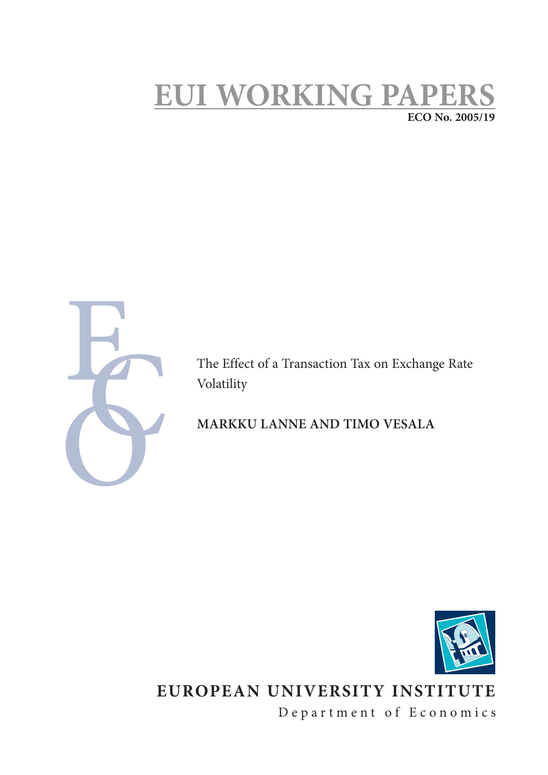# **EUI WORKING PAPE ECO No. 2005/19**



The Effect of a Transaction Tax on Exchange Rate Volatility

**MARKKU LANNE AND TIMO VESALA**



**EUROPEAN UNIVERSITY INSTITUTE**

Department of Economics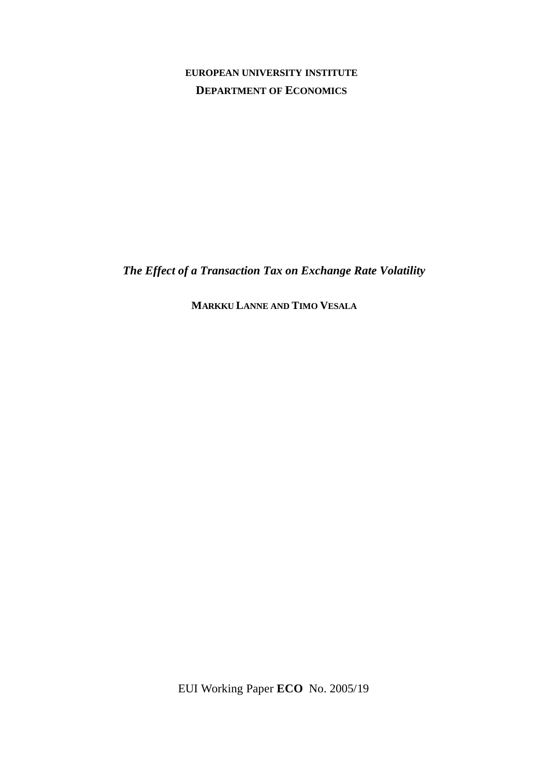### **EUROPEAN UNIVERSITY INSTITUTE DEPARTMENT OF ECONOMICS**

*The Effect of a Transaction Tax on Exchange Rate Volatility*

**MARKKU LANNE AND TIMO VESALA**

EUI Working Paper **ECO** No. 2005/19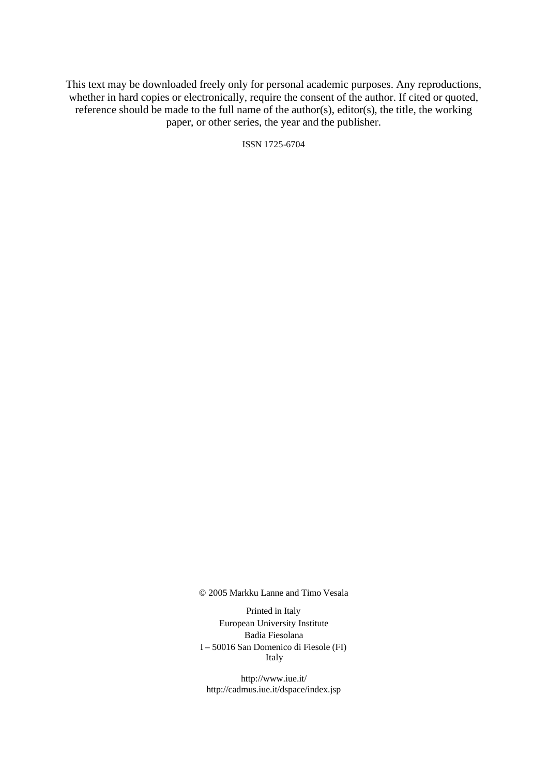This text may be downloaded freely only for personal academic purposes. Any reproductions, whether in hard copies or electronically, require the consent of the author. If cited or quoted, reference should be made to the full name of the author(s), editor(s), the title, the working paper, or other series, the year and the publisher.

ISSN 1725-6704

© 2005 Markku Lanne and Timo Vesala

Printed in Italy European University Institute Badia Fiesolana I – 50016 San Domenico di Fiesole (FI) Italy

http://www.iue.it/ http://cadmus.iue.it/dspace/index.jsp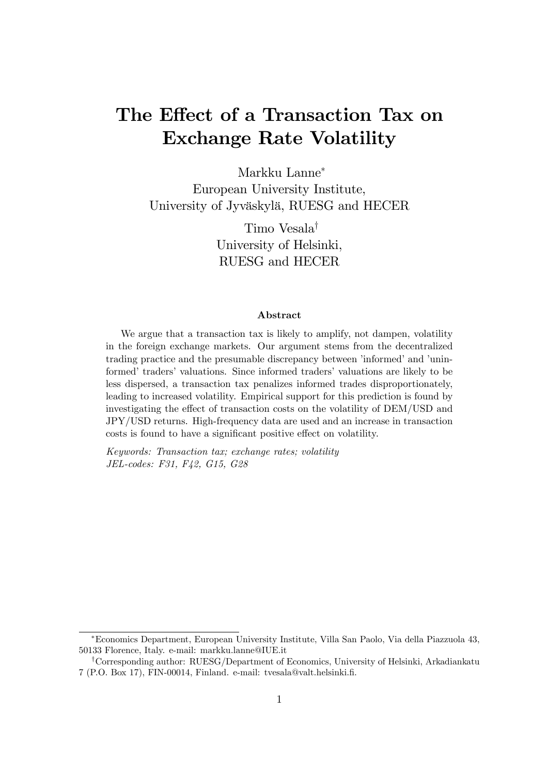# The Effect of a Transaction Tax on Exchange Rate Volatility

Markku Lanne European University Institute, University of Jyväskylä, RUESG and HECER

> Timo Vesala<sup>†</sup> University of Helsinki, RUESG and HECER

#### Abstract

We argue that a transaction tax is likely to amplify, not dampen, volatility in the foreign exchange markets. Our argument stems from the decentralized trading practice and the presumable discrepancy between 'informed' and 'uninformed' traders' valuations. Since informed traders' valuations are likely to be less dispersed, a transaction tax penalizes informed trades disproportionately, leading to increased volatility. Empirical support for this prediction is found by investigating the effect of transaction costs on the volatility of DEM/USD and JPY/USD returns. High-frequency data are used and an increase in transaction costs is found to have a significant positive effect on volatility.

Keywords: Transaction tax; exchange rates; volatility JEL-codes: F31, F42, G15, G28

Economics Department, European University Institute, Villa San Paolo, Via della Piazzuola 43, 50133 Florence, Italy. e-mail: markku.lanne@IUE.it

<sup>&</sup>lt;sup>†</sup>Corresponding author: RUESG/Department of Economics, University of Helsinki, Arkadiankatu 7 (P.O. Box 17), FIN-00014, Finland. e-mail: tvesala@valt.helsinki.Ö.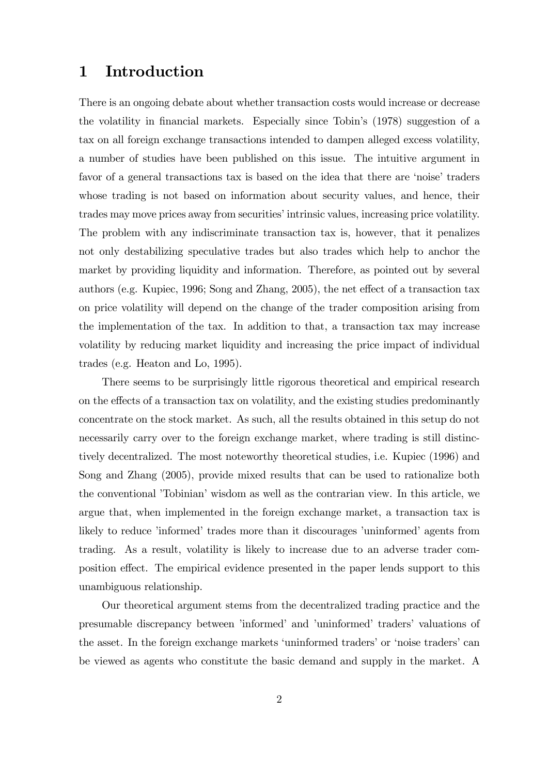### 1 Introduction

There is an ongoing debate about whether transaction costs would increase or decrease the volatility in financial markets. Especially since Tobin's (1978) suggestion of a tax on all foreign exchange transactions intended to dampen alleged excess volatility, a number of studies have been published on this issue. The intuitive argument in favor of a general transactions tax is based on the idea that there are 'noise' traders whose trading is not based on information about security values, and hence, their trades may move prices away from securities' intrinsic values, increasing price volatility. The problem with any indiscriminate transaction tax is, however, that it penalizes not only destabilizing speculative trades but also trades which help to anchor the market by providing liquidity and information. Therefore, as pointed out by several authors (e.g. Kupiec, 1996; Song and Zhang, 2005), the net effect of a transaction tax on price volatility will depend on the change of the trader composition arising from the implementation of the tax. In addition to that, a transaction tax may increase volatility by reducing market liquidity and increasing the price impact of individual trades (e.g. Heaton and Lo, 1995).

There seems to be surprisingly little rigorous theoretical and empirical research on the effects of a transaction tax on volatility, and the existing studies predominantly concentrate on the stock market. As such, all the results obtained in this setup do not necessarily carry over to the foreign exchange market, where trading is still distinctively decentralized. The most noteworthy theoretical studies, i.e. Kupiec (1996) and Song and Zhang (2005), provide mixed results that can be used to rationalize both the conventional 'Tobinian' wisdom as well as the contrarian view. In this article, we argue that, when implemented in the foreign exchange market, a transaction tax is likely to reduce 'informed' trades more than it discourages 'uninformed' agents from trading. As a result, volatility is likely to increase due to an adverse trader composition effect. The empirical evidence presented in the paper lends support to this unambiguous relationship.

Our theoretical argument stems from the decentralized trading practice and the presumable discrepancy between íinformedí and íuninformedí tradersí valuations of the asset. In the foreign exchange markets 'uninformed traders' or 'noise traders' can be viewed as agents who constitute the basic demand and supply in the market. A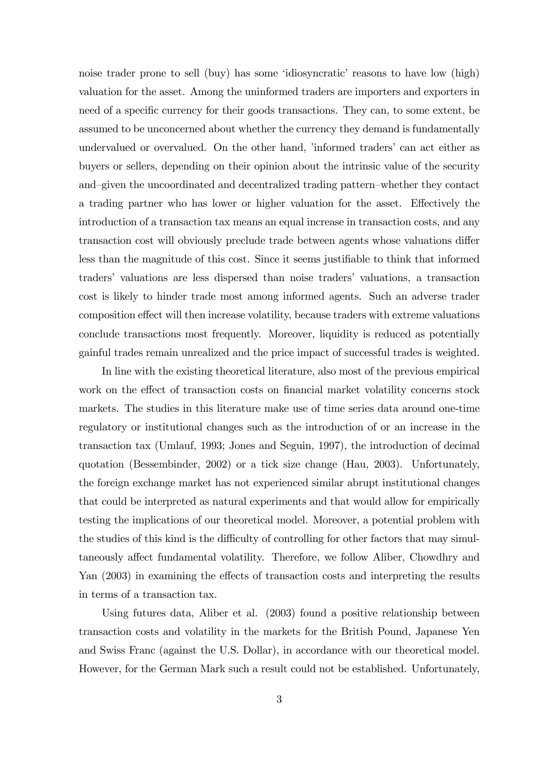noise trader prone to sell (buy) has some 'idiosyncratic' reasons to have low (high) valuation for the asset. Among the uninformed traders are importers and exporters in need of a specific currency for their goods transactions. They can, to some extent, be assumed to be unconcerned about whether the currency they demand is fundamentally undervalued or overvalued. On the other hand, 'informed traders' can act either as buyers or sellers, depending on their opinion about the intrinsic value of the security and-given the uncoordinated and decentralized trading pattern–whether they contact a trading partner who has lower or higher valuation for the asset. Effectively the introduction of a transaction tax means an equal increase in transaction costs, and any transaction cost will obviously preclude trade between agents whose valuations differ less than the magnitude of this cost. Since it seems justifiable to think that informed tradersí valuations are less dispersed than noise tradersí valuations, a transaction cost is likely to hinder trade most among informed agents. Such an adverse trader composition effect will then increase volatility, because traders with extreme valuations conclude transactions most frequently. Moreover, liquidity is reduced as potentially gainful trades remain unrealized and the price impact of successful trades is weighted.

In line with the existing theoretical literature, also most of the previous empirical work on the effect of transaction costs on financial market volatility concerns stock markets. The studies in this literature make use of time series data around one-time regulatory or institutional changes such as the introduction of or an increase in the transaction tax (Umlauf, 1993; Jones and Seguin, 1997), the introduction of decimal quotation (Bessembinder, 2002) or a tick size change (Hau, 2003). Unfortunately, the foreign exchange market has not experienced similar abrupt institutional changes that could be interpreted as natural experiments and that would allow for empirically testing the implications of our theoretical model. Moreover, a potential problem with the studies of this kind is the difficulty of controlling for other factors that may simultaneously affect fundamental volatility. Therefore, we follow Aliber, Chowdhry and Yan (2003) in examining the effects of transaction costs and interpreting the results in terms of a transaction tax.

Using futures data, Aliber et al. (2003) found a positive relationship between transaction costs and volatility in the markets for the British Pound, Japanese Yen and Swiss Franc (against the U.S. Dollar), in accordance with our theoretical model. However, for the German Mark such a result could not be established. Unfortunately,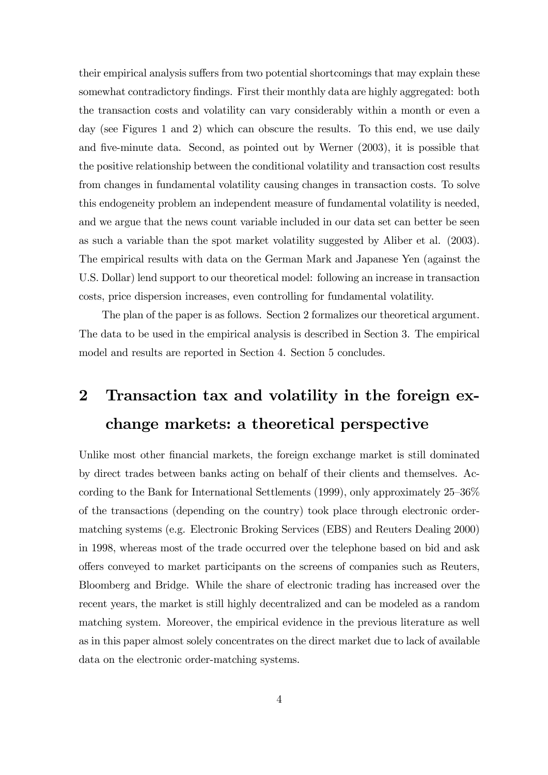their empirical analysis suffers from two potential shortcomings that may explain these somewhat contradictory findings. First their monthly data are highly aggregated: both the transaction costs and volatility can vary considerably within a month or even a day (see Figures 1 and 2) which can obscure the results. To this end, we use daily and five-minute data. Second, as pointed out by Werner (2003), it is possible that the positive relationship between the conditional volatility and transaction cost results from changes in fundamental volatility causing changes in transaction costs. To solve this endogeneity problem an independent measure of fundamental volatility is needed, and we argue that the news count variable included in our data set can better be seen as such a variable than the spot market volatility suggested by Aliber et al. (2003). The empirical results with data on the German Mark and Japanese Yen (against the U.S. Dollar) lend support to our theoretical model: following an increase in transaction costs, price dispersion increases, even controlling for fundamental volatility.

The plan of the paper is as follows. Section 2 formalizes our theoretical argument. The data to be used in the empirical analysis is described in Section 3. The empirical model and results are reported in Section 4. Section 5 concludes.

# 2 Transaction tax and volatility in the foreign exchange markets: a theoretical perspective

Unlike most other financial markets, the foreign exchange market is still dominated by direct trades between banks acting on behalf of their clients and themselves. According to the Bank for International Settlements (1999), only approximately  $25-36\%$ of the transactions (depending on the country) took place through electronic ordermatching systems (e.g. Electronic Broking Services (EBS) and Reuters Dealing 2000) in 1998, whereas most of the trade occurred over the telephone based on bid and ask offers conveyed to market participants on the screens of companies such as Reuters, Bloomberg and Bridge. While the share of electronic trading has increased over the recent years, the market is still highly decentralized and can be modeled as a random matching system. Moreover, the empirical evidence in the previous literature as well as in this paper almost solely concentrates on the direct market due to lack of available data on the electronic order-matching systems.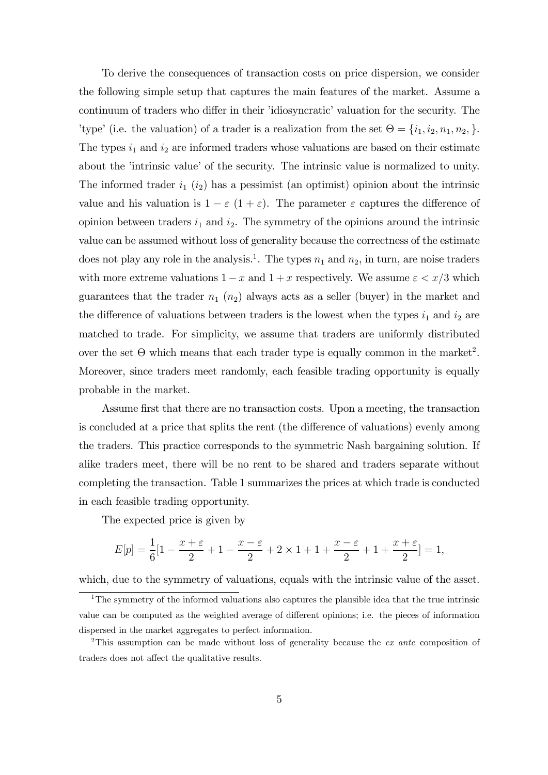To derive the consequences of transaction costs on price dispersion, we consider the following simple setup that captures the main features of the market. Assume a continuum of traders who differ in their 'idiosyncratic' valuation for the security. The 'type' (i.e. the valuation) of a trader is a realization from the set  $\Theta = \{i_1, i_2, n_1, n_2, \}$ . The types  $i_1$  and  $i_2$  are informed traders whose valuations are based on their estimate about the 'intrinsic value' of the security. The intrinsic value is normalized to unity. The informed trader  $i_1$   $(i_2)$  has a pessimist (an optimist) opinion about the intrinsic value and his valuation is  $1 - \varepsilon (1 + \varepsilon)$ . The parameter  $\varepsilon$  captures the difference of opinion between traders  $i_1$  and  $i_2$ . The symmetry of the opinions around the intrinsic value can be assumed without loss of generality because the correctness of the estimate does not play any role in the analysis.<sup>1</sup>. The types  $n_1$  and  $n_2$ , in turn, are noise traders with more extreme valuations  $1 - x$  and  $1 + x$  respectively. We assume  $\varepsilon < x/3$  which guarantees that the trader  $n_1$   $(n_2)$  always acts as a seller (buyer) in the market and the difference of valuations between traders is the lowest when the types  $i_1$  and  $i_2$  are matched to trade. For simplicity, we assume that traders are uniformly distributed over the set  $\Theta$  which means that each trader type is equally common in the market<sup>2</sup>. Moreover, since traders meet randomly, each feasible trading opportunity is equally probable in the market.

Assume first that there are no transaction costs. Upon a meeting, the transaction is concluded at a price that splits the rent (the difference of valuations) evenly among the traders. This practice corresponds to the symmetric Nash bargaining solution. If alike traders meet, there will be no rent to be shared and traders separate without completing the transaction. Table 1 summarizes the prices at which trade is conducted in each feasible trading opportunity.

The expected price is given by

$$
E[p] = \frac{1}{6}[1 - \frac{x + \varepsilon}{2} + 1 - \frac{x - \varepsilon}{2} + 2 \times 1 + 1 + \frac{x - \varepsilon}{2} + 1 + \frac{x + \varepsilon}{2}] = 1,
$$

which, due to the symmetry of valuations, equals with the intrinsic value of the asset.

<sup>&</sup>lt;sup>1</sup>The symmetry of the informed valuations also captures the plausible idea that the true intrinsic value can be computed as the weighted average of different opinions; i.e. the pieces of information dispersed in the market aggregates to perfect information.

<sup>2</sup>This assumption can be made without loss of generality because the ex ante composition of traders does not affect the qualitative results.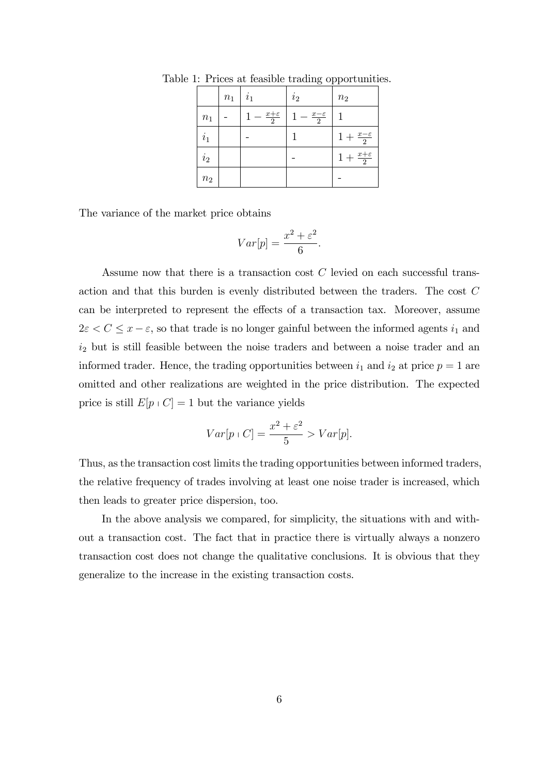|       | $n_1$ | $i_1$                   | $i_2$                     | $n_2$                       |
|-------|-------|-------------------------|---------------------------|-----------------------------|
| $n_1$ |       | $rac{x+\varepsilon}{2}$ | $\frac{x-\varepsilon}{2}$ | 1                           |
| $i_1$ |       |                         |                           | $+\frac{x-\varepsilon}{2}$  |
| $i_2$ |       |                         |                           | $1+\frac{x+\varepsilon}{2}$ |
| $n_2$ |       |                         |                           |                             |

Table 1: Prices at feasible trading opportunities.

The variance of the market price obtains

$$
Var[p] = \frac{x^2 + \varepsilon^2}{6}
$$

:

Assume now that there is a transaction cost C levied on each successful transaction and that this burden is evenly distributed between the traders. The cost C can be interpreted to represent the effects of a transaction tax. Moreover, assume  $2\varepsilon < C \leq x - \varepsilon$ , so that trade is no longer gainful between the informed agents  $i_1$  and  $i_2$  but is still feasible between the noise traders and between a noise trader and an informed trader. Hence, the trading opportunities between  $i_1$  and  $i_2$  at price  $p = 1$  are omitted and other realizations are weighted in the price distribution. The expected price is still  $E[p \mid C] = 1$  but the variance yields

$$
Var[p \mid C] = \frac{x^2 + \varepsilon^2}{5} > Var[p].
$$

Thus, as the transaction cost limits the trading opportunities between informed traders, the relative frequency of trades involving at least one noise trader is increased, which then leads to greater price dispersion, too.

In the above analysis we compared, for simplicity, the situations with and without a transaction cost. The fact that in practice there is virtually always a nonzero transaction cost does not change the qualitative conclusions. It is obvious that they generalize to the increase in the existing transaction costs.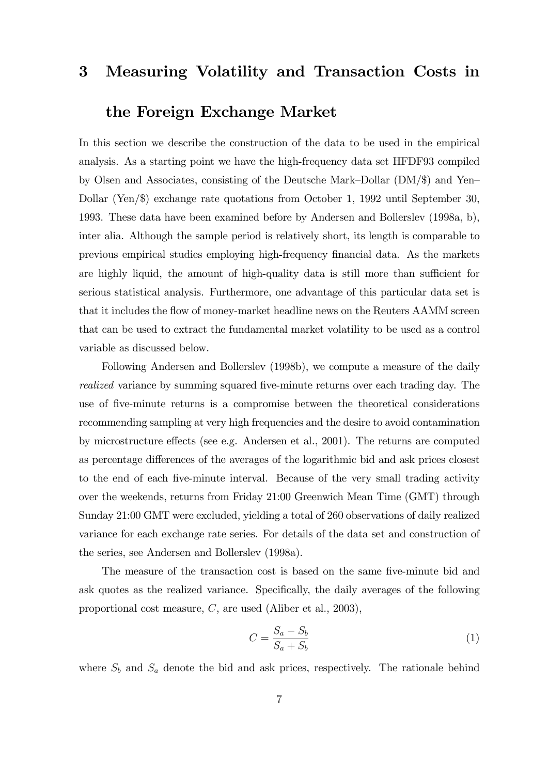### 3 Measuring Volatility and Transaction Costs in

#### the Foreign Exchange Market

In this section we describe the construction of the data to be used in the empirical analysis. As a starting point we have the high-frequency data set HFDF93 compiled by Olsen and Associates, consisting of the Deutsche Mark–Dollar ( $DM/\$$ ) and Yen– Dollar (Yen/\$) exchange rate quotations from October 1, 1992 until September 30, 1993. These data have been examined before by Andersen and Bollerslev (1998a, b), inter alia. Although the sample period is relatively short, its length is comparable to previous empirical studies employing high-frequency Önancial data. As the markets are highly liquid, the amount of high-quality data is still more than sufficient for serious statistical analysis. Furthermore, one advantage of this particular data set is that it includes the flow of money-market headline news on the Reuters AAMM screen that can be used to extract the fundamental market volatility to be used as a control variable as discussed below.

Following Andersen and Bollerslev (1998b), we compute a measure of the daily realized variance by summing squared Öve-minute returns over each trading day. The use of Öve-minute returns is a compromise between the theoretical considerations recommending sampling at very high frequencies and the desire to avoid contamination by microstructure effects (see e.g. Andersen et al.,  $2001$ ). The returns are computed as percentage differences of the averages of the logarithmic bid and ask prices closest to the end of each Öve-minute interval. Because of the very small trading activity over the weekends, returns from Friday 21:00 Greenwich Mean Time (GMT) through Sunday 21:00 GMT were excluded, yielding a total of 260 observations of daily realized variance for each exchange rate series. For details of the data set and construction of the series, see Andersen and Bollerslev (1998a).

The measure of the transaction cost is based on the same five-minute bid and ask quotes as the realized variance. Specifically, the daily averages of the following proportional cost measure, C, are used (Aliber et al., 2003),

$$
C = \frac{S_a - S_b}{S_a + S_b} \tag{1}
$$

where  $S_b$  and  $S_a$  denote the bid and ask prices, respectively. The rationale behind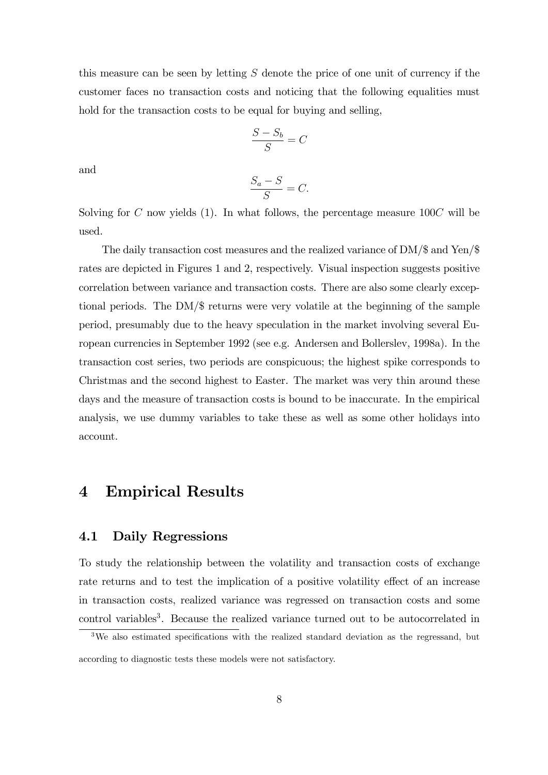this measure can be seen by letting  $S$  denote the price of one unit of currency if the customer faces no transaction costs and noticing that the following equalities must hold for the transaction costs to be equal for buying and selling,

$$
\frac{S - S_b}{S} = C
$$

and

$$
\frac{S_a - S}{S} = C.
$$

Solving for C now yields  $(1)$ . In what follows, the percentage measure  $100C$  will be used.

The daily transaction cost measures and the realized variance of DM/\$ and Yen/\$ rates are depicted in Figures 1 and 2, respectively. Visual inspection suggests positive correlation between variance and transaction costs. There are also some clearly exceptional periods. The DM/\$ returns were very volatile at the beginning of the sample period, presumably due to the heavy speculation in the market involving several European currencies in September 1992 (see e.g. Andersen and Bollerslev, 1998a). In the transaction cost series, two periods are conspicuous; the highest spike corresponds to Christmas and the second highest to Easter. The market was very thin around these days and the measure of transaction costs is bound to be inaccurate. In the empirical analysis, we use dummy variables to take these as well as some other holidays into account.

#### 4 Empirical Results

#### 4.1 Daily Regressions

To study the relationship between the volatility and transaction costs of exchange rate returns and to test the implication of a positive volatility effect of an increase in transaction costs, realized variance was regressed on transaction costs and some control variables<sup>3</sup>. Because the realized variance turned out to be autocorrelated in

 $3$ We also estimated specifications with the realized standard deviation as the regressand, but according to diagnostic tests these models were not satisfactory.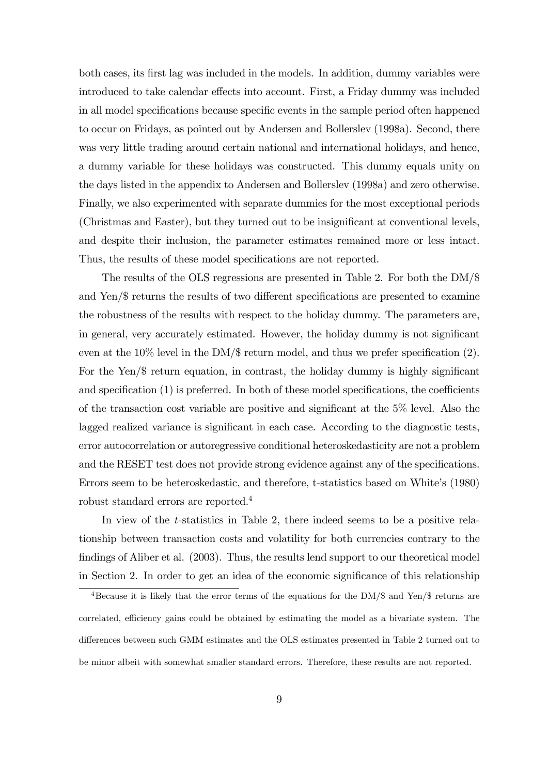both cases, its first lag was included in the models. In addition, dummy variables were introduced to take calendar effects into account. First, a Friday dummy was included in all model specifications because specific events in the sample period often happened to occur on Fridays, as pointed out by Andersen and Bollerslev (1998a). Second, there was very little trading around certain national and international holidays, and hence, a dummy variable for these holidays was constructed. This dummy equals unity on the days listed in the appendix to Andersen and Bollerslev (1998a) and zero otherwise. Finally, we also experimented with separate dummies for the most exceptional periods (Christmas and Easter), but they turned out to be insignificant at conventional levels, and despite their inclusion, the parameter estimates remained more or less intact. Thus, the results of these model specifications are not reported.

The results of the OLS regressions are presented in Table 2. For both the DM/\$ and Yen/ $\frac{1}{2}$  returns the results of two different specifications are presented to examine the robustness of the results with respect to the holiday dummy. The parameters are, in general, very accurately estimated. However, the holiday dummy is not significant even at the  $10\%$  level in the DM/\$ return model, and thus we prefer specification (2). For the Yen/ $\frac{1}{2}$  return equation, in contrast, the holiday dummy is highly significant and specification  $(1)$  is preferred. In both of these model specifications, the coefficients of the transaction cost variable are positive and significant at the  $5\%$  level. Also the lagged realized variance is significant in each case. According to the diagnostic tests, error autocorrelation or autoregressive conditional heteroskedasticity are not a problem and the RESET test does not provide strong evidence against any of the specifications. Errors seem to be heteroskedastic, and therefore, t-statistics based on Whiteís (1980) robust standard errors are reported.<sup>4</sup>

In view of the t-statistics in Table 2, there indeed seems to be a positive relationship between transaction costs and volatility for both currencies contrary to the findings of Aliber et al. (2003). Thus, the results lend support to our theoretical model in Section 2. In order to get an idea of the economic significance of this relationship

<sup>4</sup>Because it is likely that the error terms of the equations for the DM/\$ and Yen/\$ returns are correlated, efficiency gains could be obtained by estimating the model as a bivariate system. The differences between such GMM estimates and the OLS estimates presented in Table 2 turned out to be minor albeit with somewhat smaller standard errors. Therefore, these results are not reported.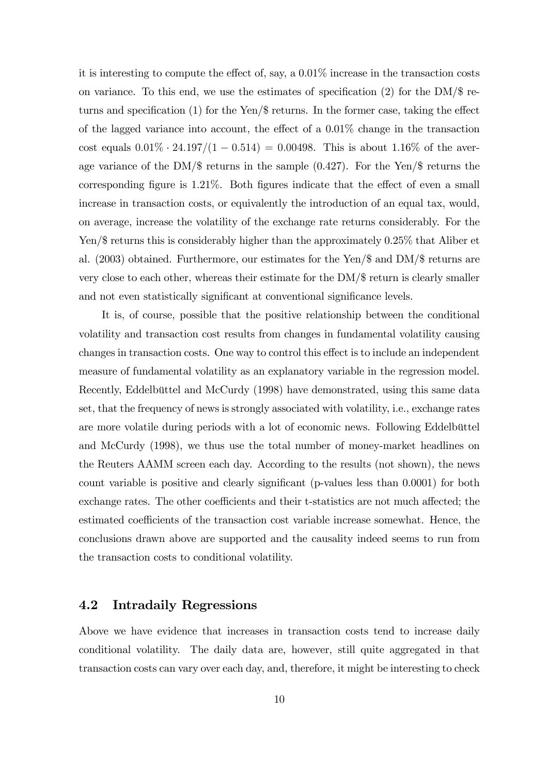it is interesting to compute the effect of, say, a  $0.01\%$  increase in the transaction costs on variance. To this end, we use the estimates of specification  $(2)$  for the DM/ $\$  returns and specification (1) for the Yen/ $\frac{1}{2}$  returns. In the former case, taking the effect of the lagged variance into account, the effect of a  $0.01\%$  change in the transaction cost equals  $0.01\% \cdot 24.197/(1 - 0.514) = 0.00498$ . This is about 1.16% of the average variance of the DM/\$ returns in the sample (0.427). For the Yen/\$ returns the corresponding figure is  $1.21\%$ . Both figures indicate that the effect of even a small increase in transaction costs, or equivalently the introduction of an equal tax, would, on average, increase the volatility of the exchange rate returns considerably. For the Yen/\$ returns this is considerably higher than the approximately 0.25% that Aliber et al. (2003) obtained. Furthermore, our estimates for the Yen/\$ and DM/\$ returns are very close to each other, whereas their estimate for the DM/\$ return is clearly smaller and not even statistically significant at conventional significance levels.

It is, of course, possible that the positive relationship between the conditional volatility and transaction cost results from changes in fundamental volatility causing changes in transaction costs. One way to control this effect is to include an independent measure of fundamental volatility as an explanatory variable in the regression model. Recently, Eddelbüttel and McCurdy (1998) have demonstrated, using this same data set, that the frequency of news is strongly associated with volatility, i.e., exchange rates are more volatile during periods with a lot of economic news. Following Eddelbüttel and McCurdy (1998), we thus use the total number of money-market headlines on the Reuters AAMM screen each day. According to the results (not shown), the news count variable is positive and clearly significant (p-values less than 0.0001) for both exchange rates. The other coefficients and their t-statistics are not much affected; the estimated coefficients of the transaction cost variable increase somewhat. Hence, the conclusions drawn above are supported and the causality indeed seems to run from the transaction costs to conditional volatility.

#### 4.2 Intradaily Regressions

Above we have evidence that increases in transaction costs tend to increase daily conditional volatility. The daily data are, however, still quite aggregated in that transaction costs can vary over each day, and, therefore, it might be interesting to check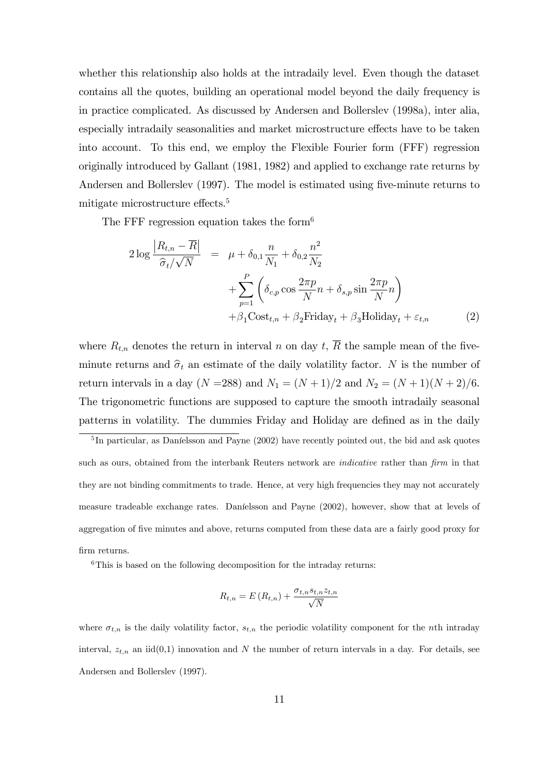whether this relationship also holds at the intradaily level. Even though the dataset contains all the quotes, building an operational model beyond the daily frequency is in practice complicated. As discussed by Andersen and Bollerslev (1998a), inter alia, especially intradaily seasonalities and market microstructure effects have to be taken into account. To this end, we employ the Flexible Fourier form (FFF) regression originally introduced by Gallant (1981, 1982) and applied to exchange rate returns by Andersen and Bollerslev (1997). The model is estimated using five-minute returns to mitigate microstructure effects.<sup>5</sup>

The FFF regression equation takes the form<sup>6</sup>

$$
2 \log \frac{|R_{t,n} - \overline{R}|}{\hat{\sigma}_t / \sqrt{N}} = \mu + \delta_{0,1} \frac{n}{N_1} + \delta_{0,2} \frac{n^2}{N_2} + \sum_{p=1}^P \left( \delta_{c,p} \cos \frac{2\pi p}{N} n + \delta_{s,p} \sin \frac{2\pi p}{N} n \right) + \beta_1 \text{Cost}_{t,n} + \beta_2 \text{Friday}_t + \beta_3 \text{Holiday}_t + \varepsilon_{t,n}
$$
(2)

where  $R_{t,n}$  denotes the return in interval n on day t,  $\overline{R}$  the sample mean of the fiveminute returns and  $\hat{\sigma}_t$  an estimate of the daily volatility factor. N is the number of return intervals in a day (N = 288) and  $N_1 = (N + 1)/2$  and  $N_2 = (N + 1)(N + 2)/6$ . The trigonometric functions are supposed to capture the smooth intradaily seasonal patterns in volatility. The dummies Friday and Holiday are defined as in the daily

 ${}^{5}$ In particular, as Danielsson and Payne (2002) have recently pointed out, the bid and ask quotes such as ours, obtained from the interbank Reuters network are *indicative* rather than firm in that they are not binding commitments to trade. Hence, at very high frequencies they may not accurately measure tradeable exchange rates. Daníelsson and Payne (2002), however, show that at levels of aggregation of five minutes and above, returns computed from these data are a fairly good proxy for Örm returns.

<sup>6</sup>This is based on the following decomposition for the intraday returns:

$$
R_{t,n} = E(R_{t,n}) + \frac{\sigma_{t,n} s_{t,n} z_{t,n}}{\sqrt{N}}
$$

where  $\sigma_{t,n}$  is the daily volatility factor,  $s_{t,n}$  the periodic volatility component for the nth intraday interval,  $z_{t,n}$  an iid(0,1) innovation and N the number of return intervals in a day. For details, see Andersen and Bollerslev (1997).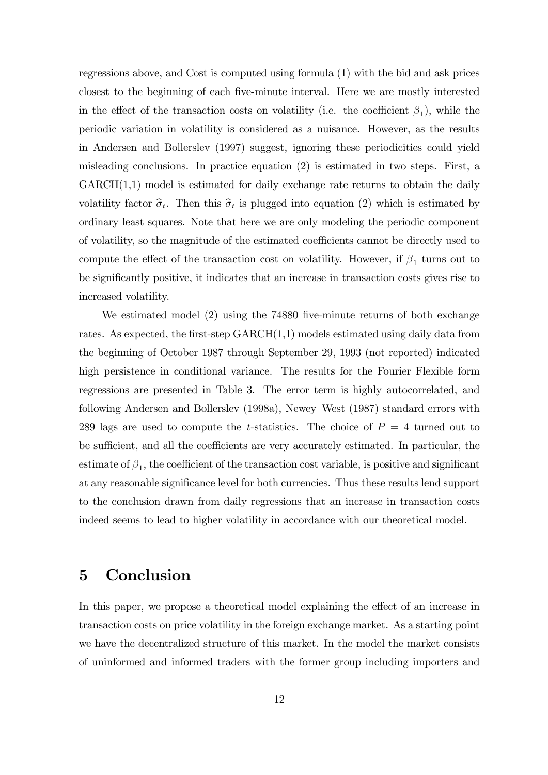regressions above, and Cost is computed using formula (1) with the bid and ask prices closest to the beginning of each Öve-minute interval. Here we are mostly interested in the effect of the transaction costs on volatility (i.e. the coefficient  $\beta_1$ ), while the periodic variation in volatility is considered as a nuisance. However, as the results in Andersen and Bollerslev (1997) suggest, ignoring these periodicities could yield misleading conclusions. In practice equation (2) is estimated in two steps. First, a  $GARCH(1,1)$  model is estimated for daily exchange rate returns to obtain the daily volatility factor  $\hat{\sigma}_t$ . Then this  $\hat{\sigma}_t$  is plugged into equation (2) which is estimated by ordinary least squares. Note that here we are only modeling the periodic component of volatility, so the magnitude of the estimated coefficients cannot be directly used to compute the effect of the transaction cost on volatility. However, if  $\beta_1$  turns out to be signiÖcantly positive, it indicates that an increase in transaction costs gives rise to increased volatility.

We estimated model (2) using the 74880 five-minute returns of both exchange rates. As expected, the first-step  $GARCH(1,1)$  models estimated using daily data from the beginning of October 1987 through September 29, 1993 (not reported) indicated high persistence in conditional variance. The results for the Fourier Flexible form regressions are presented in Table 3. The error term is highly autocorrelated, and following Andersen and Bollerslev (1998a), Newey–West (1987) standard errors with 289 lags are used to compute the *t*-statistics. The choice of  $P = 4$  turned out to be sufficient, and all the coefficients are very accurately estimated. In particular, the estimate of  $\beta_1$ , the coefficient of the transaction cost variable, is positive and significant at any reasonable significance level for both currencies. Thus these results lend support to the conclusion drawn from daily regressions that an increase in transaction costs indeed seems to lead to higher volatility in accordance with our theoretical model.

### 5 Conclusion

In this paper, we propose a theoretical model explaining the effect of an increase in transaction costs on price volatility in the foreign exchange market. As a starting point we have the decentralized structure of this market. In the model the market consists of uninformed and informed traders with the former group including importers and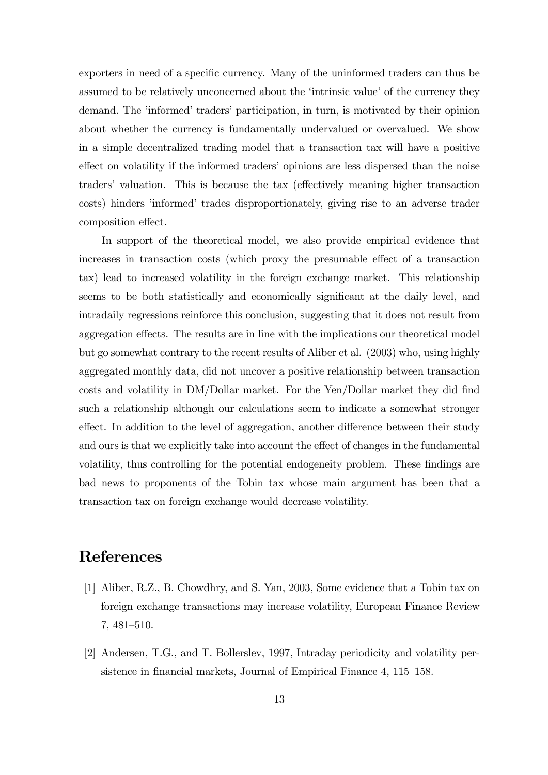exporters in need of a specific currency. Many of the uninformed traders can thus be assumed to be relatively unconcerned about the 'intrinsic value' of the currency they demand. The 'informed' traders' participation, in turn, is motivated by their opinion about whether the currency is fundamentally undervalued or overvalued. We show in a simple decentralized trading model that a transaction tax will have a positive effect on volatility if the informed traders' opinions are less dispersed than the noise traders' valuation. This is because the tax (effectively meaning higher transaction costs) hinders 'informed' trades disproportionately, giving rise to an adverse trader composition effect.

In support of the theoretical model, we also provide empirical evidence that increases in transaction costs (which proxy the presumable effect of a transaction tax) lead to increased volatility in the foreign exchange market. This relationship seems to be both statistically and economically significant at the daily level, and intradaily regressions reinforce this conclusion, suggesting that it does not result from aggregation effects. The results are in line with the implications our theoretical model but go somewhat contrary to the recent results of Aliber et al. (2003) who, using highly aggregated monthly data, did not uncover a positive relationship between transaction costs and volatility in DM/Dollar market. For the Yen/Dollar market they did find such a relationship although our calculations seem to indicate a somewhat stronger effect. In addition to the level of aggregation, another difference between their study and ours is that we explicitly take into account the effect of changes in the fundamental volatility, thus controlling for the potential endogeneity problem. These findings are bad news to proponents of the Tobin tax whose main argument has been that a transaction tax on foreign exchange would decrease volatility.

#### References

- [1] Aliber, R.Z., B. Chowdhry, and S. Yan, 2003, Some evidence that a Tobin tax on foreign exchange transactions may increase volatility, European Finance Review 7, 481-510.
- [2] Andersen, T.G., and T. Bollerslev, 1997, Intraday periodicity and volatility persistence in financial markets, Journal of Empirical Finance 4, 115–158.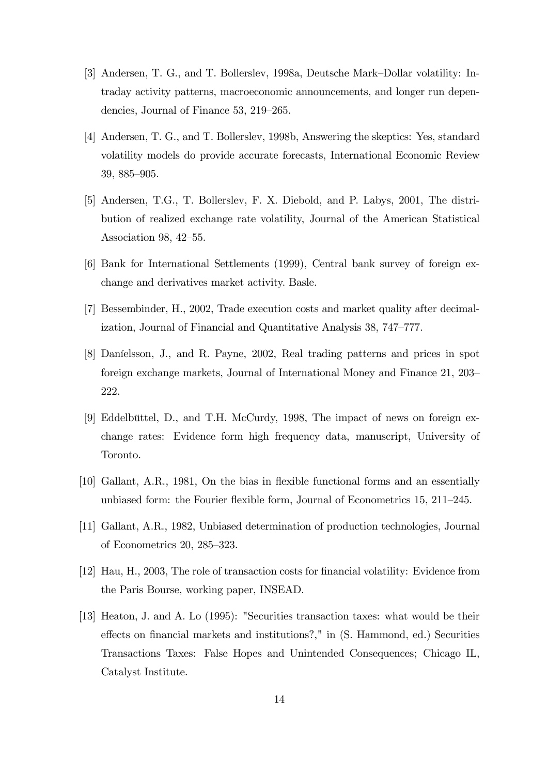- [3] Andersen, T. G., and T. Bollerslev, 1998a, Deutsche Mark–Dollar volatility: Intraday activity patterns, macroeconomic announcements, and longer run dependencies, Journal of Finance  $53$ ,  $219-265$ .
- [4] Andersen, T. G., and T. Bollerslev, 1998b, Answering the skeptics: Yes, standard volatility models do provide accurate forecasts, International Economic Review 39, 885-905.
- [5] Andersen, T.G., T. Bollerslev, F. X. Diebold, and P. Labys, 2001, The distribution of realized exchange rate volatility, Journal of the American Statistical Association 98,  $42-55$ .
- [6] Bank for International Settlements (1999), Central bank survey of foreign exchange and derivatives market activity. Basle.
- [7] Bessembinder, H., 2002, Trade execution costs and market quality after decimalization, Journal of Financial and Quantitative Analysis 38, 747–777.
- [8] Danielsson, J., and R. Payne, 2002, Real trading patterns and prices in spot foreign exchange markets, Journal of International Money and Finance 21, 203 222.
- [9] Eddelbüttel, D., and T.H. McCurdy, 1998, The impact of news on foreign exchange rates: Evidence form high frequency data, manuscript, University of Toronto.
- [10] Gallant, A.R., 1981, On the bias in flexible functional forms and an essentially unbiased form: the Fourier flexible form, Journal of Econometrics  $15$ ,  $211-245$ .
- [11] Gallant, A.R., 1982, Unbiased determination of production technologies, Journal of Econometrics 20,  $285-323$ .
- [12] Hau, H., 2003, The role of transaction costs for Önancial volatility: Evidence from the Paris Bourse, working paper, INSEAD.
- [13] Heaton, J. and A. Lo (1995): "Securities transaction taxes: what would be their effects on financial markets and institutions?," in (S. Hammond, ed.) Securities Transactions Taxes: False Hopes and Unintended Consequences; Chicago IL, Catalyst Institute.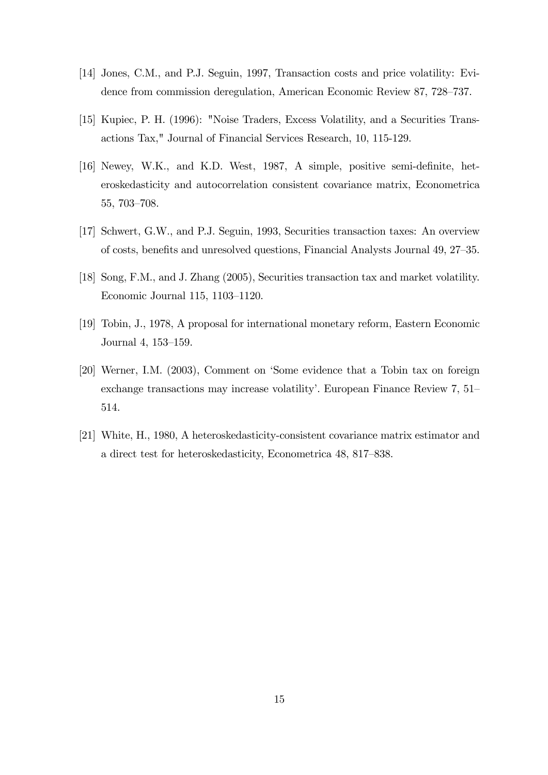- [14] Jones, C.M., and P.J. Seguin, 1997, Transaction costs and price volatility: Evidence from commission deregulation, American Economic Review 87, 728–737.
- [15] Kupiec, P. H. (1996): "Noise Traders, Excess Volatility, and a Securities Transactions Tax," Journal of Financial Services Research, 10, 115-129.
- [16] Newey, W.K., and K.D. West, 1987, A simple, positive semi-definite, heteroskedasticity and autocorrelation consistent covariance matrix, Econometrica  $55, 703 - 708.$
- [17] Schwert, G.W., and P.J. Seguin, 1993, Securities transaction taxes: An overview of costs, benefits and unresolved questions, Financial Analysts Journal 49, 27–35.
- [18] Song, F.M., and J. Zhang (2005), Securities transaction tax and market volatility. Economic Journal  $115$ ,  $1103-1120$ .
- [19] Tobin, J., 1978, A proposal for international monetary reform, Eastern Economic Journal 4, 153-159.
- [20] Werner, I.M. (2003), Comment on 'Some evidence that a Tobin tax on foreign exchange transactions may increase volatility'. European Finance Review  $7, 51$ 514.
- [21] White, H., 1980, A heteroskedasticity-consistent covariance matrix estimator and a direct test for heteroskedasticity, Econometrica 48, 817–838.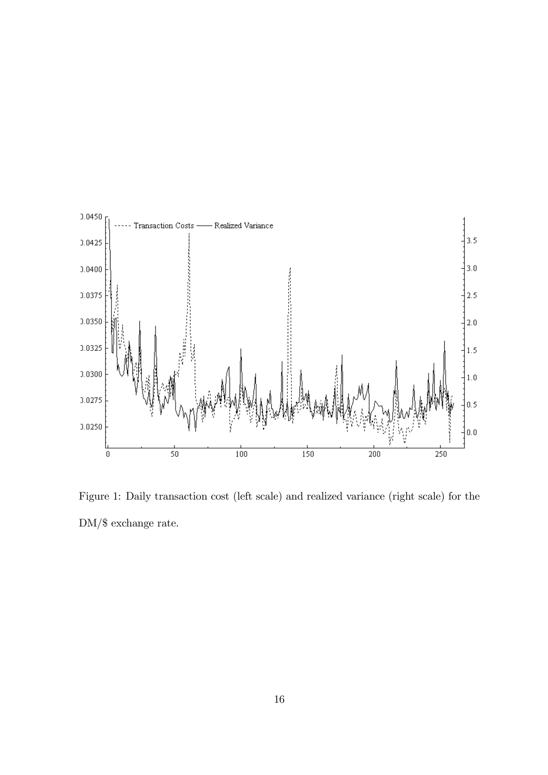

Figure 1: Daily transaction cost (left scale) and realized variance (right scale) for the DM/\$ exchange rate.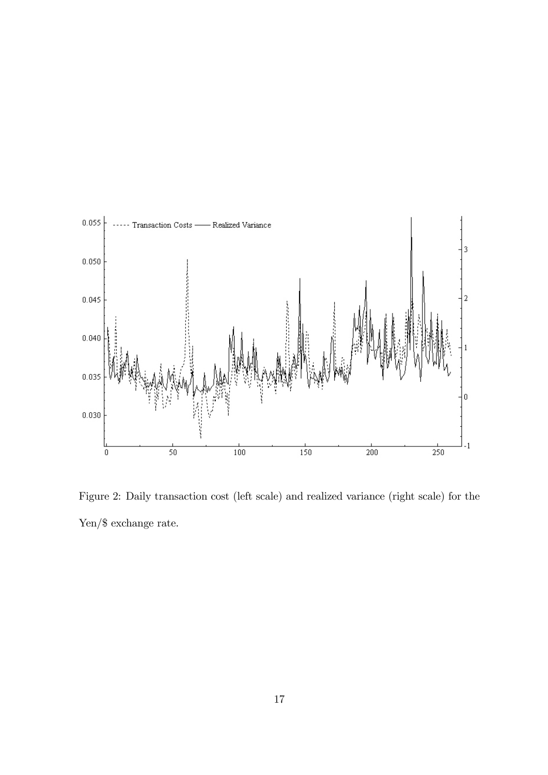

Figure 2: Daily transaction cost (left scale) and realized variance (right scale) for the Yen/\$ exchange rate.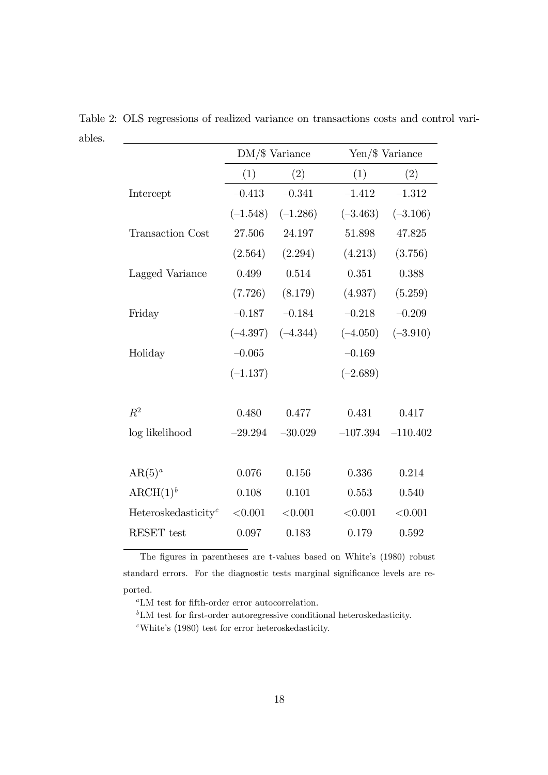|                                              | $DM/\$$ Variance |                       |            | Yen/\$ Variance       |  |
|----------------------------------------------|------------------|-----------------------|------------|-----------------------|--|
|                                              | (1)              | (2)                   | (1)        | (2)                   |  |
| Intercept                                    | $-0.413$         | $-0.341$              | $-1.412$   | $-1.312$              |  |
|                                              |                  | $(-1.548)$ $(-1.286)$ | $(-3.463)$ | $(-3.106)$            |  |
| <b>Transaction Cost</b>                      | 27.506           | 24.197                | 51.898     | 47.825                |  |
|                                              | (2.564)          | (2.294)               | (4.213)    | (3.756)               |  |
| Lagged Variance                              | 0.499            | 0.514                 | 0.351      | 0.388                 |  |
|                                              | (7.726)          | (8.179)               | (4.937)    | (5.259)               |  |
| Friday                                       | $-0.187$         | $-0.184$              | $-0.218$   | $-0.209$              |  |
|                                              |                  | $(-4.397)$ $(-4.344)$ | $(-4.050)$ | $(-3.910)$            |  |
| Holiday                                      | $-0.065$         |                       | $-0.169$   |                       |  |
|                                              | $(-1.137)$       |                       | $(-2.689)$ |                       |  |
|                                              |                  |                       |            |                       |  |
| $R^2$                                        | 0.480            | 0.477                 | 0.431      | 0.417                 |  |
| log likelihood                               | $-29.294$        | $-30.029$             |            | $-107.394$ $-110.402$ |  |
|                                              |                  |                       |            |                       |  |
| $AR(5)^{a}$                                  | 0.076            | 0.156                 | 0.336      | 0.214                 |  |
| $\text{ARCH}(1)^b$                           | 0.108            | 0.101                 | 0.553      | 0.540                 |  |
| Heteroskedasticity <sup><math>c</math></sup> | < 0.001          | < 0.001               | < 0.001    | < 0.001               |  |
| <b>RESET</b> test                            | 0.097            | 0.183                 | 0.179      | 0.592                 |  |

Table 2: OLS regressions of realized variance on transactions costs and control variables.

The figures in parentheses are t-values based on White's (1980) robust standard errors. For the diagnostic tests marginal significance levels are reported.

 $\rm ^{a}LM$  test for fifth-order error autocorrelation.

 ${}^{b}$ LM test for first-order autoregressive conditional heteroskedasticity.

 $c$ White's (1980) test for error heteroskedasticity.